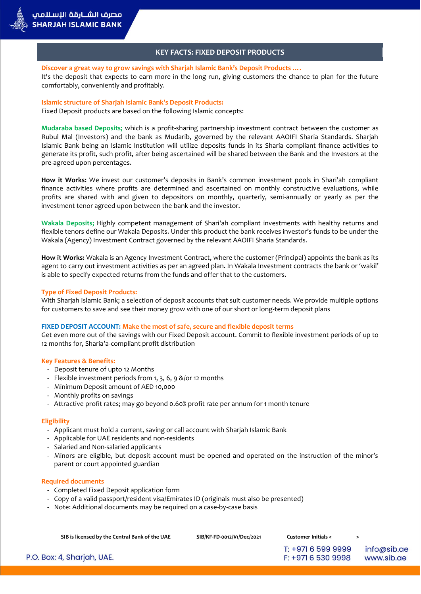# **KEY FACTS: FIXED DEPOSIT PRODUCTS**

# **Discover a great way to grow savings with Sharjah Islamic Bank's Deposit Products ….**

It's the deposit that expects to earn more in the long run, giving customers the chance to plan for the future comfortably, conveniently and profitably.

#### **Islamic structure of Sharjah Islamic Bank's Deposit Products:**

Fixed Deposit products are based on the following Islamic concepts:

**Mudaraba based Deposits;** which is a profit-sharing partnership investment contract between the customer as Rubul Mal (Investors) and the bank as Mudarib, governed by the relevant AAOIFI Sharia Standards. Sharjah Islamic Bank being an Islamic Institution will utilize deposits funds in its Sharia compliant finance activities to generate its profit, such profit, after being ascertained will be shared between the Bank and the Investors at the pre-agreed upon percentages.

**How it Works:** We invest our customer's deposits in Bank's common investment pools in Shari'ah compliant finance activities where profits are determined and ascertained on monthly constructive evaluations, while profits are shared with and given to depositors on monthly, quarterly, semi-annually or yearly as per the investment tenor agreed upon between the bank and the investor.

**Wakala Deposits;** Highly competent management of Shari'ah compliant investments with healthy returns and flexible tenors define our Wakala Deposits. Under this product the bank receives investor's funds to be under the Wakala (Agency) Investment Contract governed by the relevant AAOIFI Sharia Standards.

**How it Works:** Wakala is an Agency Investment Contract, where the customer (Principal) appoints the bank as its agent to carry out investment activities as per an agreed plan. In Wakala Investment contracts the bank or 'wakil' is able to specify expected returns from the funds and offer that to the customers.

## **Type of Fixed Deposit Products:**

With Sharjah Islamic Bank; a selection of deposit accounts that suit customer needs. We provide multiple options for customers to save and see their money grow with one of our short or long-term deposit plans

# **FIXED DEPOSIT ACCOUNT: Make the most of safe, secure and flexible deposit terms**

Get even more out of the savings with our Fixed Deposit account. Commit to flexible investment periods of up to 12 months for, Sharia'a-compliant profit distribution

## **Key Features & Benefits:**

- Deposit tenure of upto 12 Months
- Flexible investment periods from 1, 3, 6, 9 &/or 12 months
- Minimum Deposit amount of AED 10,000
- Monthly profits on savings
- Attractive profit rates; may go beyond 0.60% profit rate per annum for 1 month tenure

#### **Eligibility**

- Applicant must hold a current, saving or call account with Sharjah Islamic Bank
- Applicable for UAE residents and non-residents
- Salaried and Non-salaried applicants
- Minors are eligible, but deposit account must be opened and operated on the instruction of the minor's parent or court appointed guardian

## **Required documents**

- Completed Fixed Deposit application form
- Copy of a valid passport/resident visa/Emirates ID (originals must also be presented)
- Note: Additional documents may be required on a case-by-case basis

| SIB is licensed by the Central Bank of the UAE | SIB/KF-FD-0012/V1/Dec/2021 | <b>Customer Initials &lt;</b> |             |
|------------------------------------------------|----------------------------|-------------------------------|-------------|
|                                                |                            | T: +971 6 599 9999            | info@sib.ae |

F: +971 6 530 9998

www.sib.ae

P.O. Box: 4, Sharjah, UAE.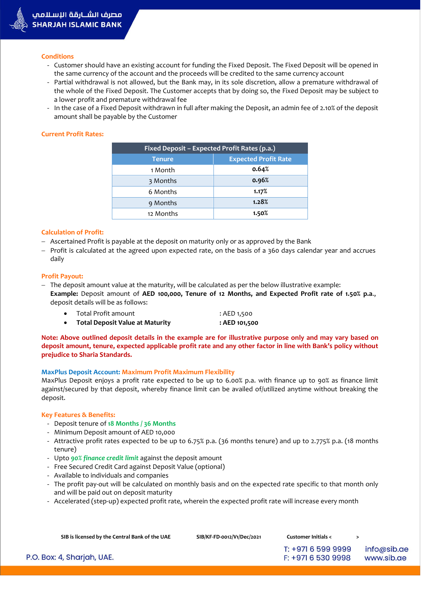

## **Conditions**

- Customer should have an existing account for funding the Fixed Deposit. The Fixed Deposit will be opened in the same currency of the account and the proceeds will be credited to the same currency account
- Partial withdrawal is not allowed, but the Bank may, in its sole discretion, allow a premature withdrawal of the whole of the Fixed Deposit. The Customer accepts that by doing so, the Fixed Deposit may be subject to a lower profit and premature withdrawal fee
- In the case of a Fixed Deposit withdrawn in full after making the Deposit, an admin fee of 2.10% of the deposit amount shall be payable by the Customer

# **Current Profit Rates:**

| Fixed Deposit - Expected Profit Rates (p.a.) |                             |  |  |
|----------------------------------------------|-----------------------------|--|--|
| <b>Tenure</b>                                | <b>Expected Profit Rate</b> |  |  |
| 1 Month                                      | 0.64%                       |  |  |
| 3 Months                                     | 0.96%                       |  |  |
| 6 Months                                     | 1.17%                       |  |  |
| 9 Months                                     | 1.28%                       |  |  |
| 12 Months                                    | 1.50%                       |  |  |

# **Calculation of Profit:**

- Ascertained Profit is payable at the deposit on maturity only or as approved by the Bank
- Profit is calculated at the agreed upon expected rate, on the basis of a 360 days calendar year and accrues daily

## **Profit Payout:**

 $-$  The deposit amount value at the maturity, will be calculated as per the below illustrative example: **Example:** Deposit amount of **AED 100,000, Tenure of 12 Months, and Expected Profit rate of 1.50% p.a**., deposit details will be as follows:

| <b>Total Deposit Value at Maturity</b> | : AED 101,500 |
|----------------------------------------|---------------|
| Total Profit amount                    | : AED 1,500   |

**Note: Above outlined deposit details in the example are for illustrative purpose only and may vary based on deposit amount, tenure, expected applicable profit rate and any other factor in line with Bank's policy without prejudice to Sharia Standards.**

# **MaxPlus Deposit Account: Maximum Profit Maximum Flexibility**

MaxPlus Deposit enjoys a profit rate expected to be up to 6.00% p.a. with finance up to 90% as finance limit against/secured by that deposit, whereby finance limit can be availed of/utilized anytime without breaking the deposit.

# **Key Features & Benefits:**

- Deposit tenure of **18 Months / 36 Months**
- Minimum Deposit amount of AED 10,000
- Attractive profit rates expected to be up to 6.75% p.a. (36 months tenure) and up to 2.775% p.a. (18 months tenure)
- Upto *90% finance credit limit* against the deposit amount
- Free Secured Credit Card against Deposit Value (optional)
- Available to individuals and companies
- The profit pay-out will be calculated on monthly basis and on the expected rate specific to that month only and will be paid out on deposit maturity
- Accelerated (step-up) expected profit rate, wherein the expected profit rate will increase every month

| SIB is licensed by the Central Bank of the UAE | SIB/KF-FD-0012/V1/Dec/2021 | <b>Customer Initials &lt;</b> |  |
|------------------------------------------------|----------------------------|-------------------------------|--|
|                                                |                            | $T \cdot 2712500000$          |  |

P.O. Box: 4, Sharjah, UAE.

T: +971 6 599 9999 F: +971 6 530 9998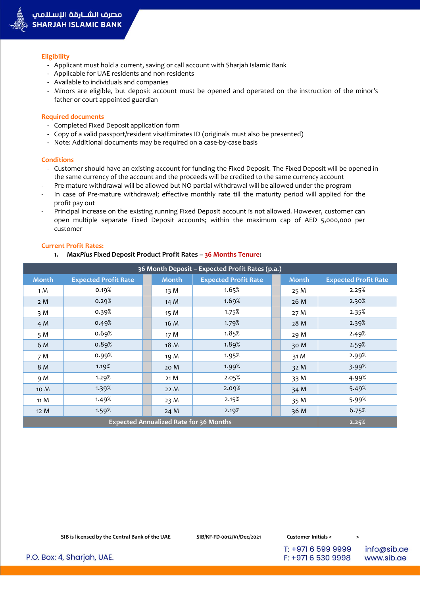

#### **Eligibility**

- Applicant must hold a current, saving or call account with Sharjah Islamic Bank
- Applicable for UAE residents and non-residents
- Available to individuals and companies
- Minors are eligible, but deposit account must be opened and operated on the instruction of the minor's father or court appointed guardian

## **Required documents**

- Completed Fixed Deposit application form
- Copy of a valid passport/resident visa/Emirates ID (originals must also be presented)
- Note: Additional documents may be required on a case-by-case basis

## **Conditions**

- Customer should have an existing account for funding the Fixed Deposit. The Fixed Deposit will be opened in the same currency of the account and the proceeds will be credited to the same currency account
- Pre-mature withdrawal will be allowed but NO partial withdrawal will be allowed under the program
- In case of Pre-mature withdrawal; effective monthly rate till the maturity period will applied for the profit pay out
- Principal increase on the existing running Fixed Deposit account is not allowed. However, customer can open multiple separate Fixed Deposit accounts; within the maximum cap of AED 5,000,000 per customer

## **Current Profit Rates:**

**1. Max***Plus* **Fixed Deposit Product Profit Rates – 36 Months Tenure:**

| 36 Month Deposit - Expected Profit Rates (p.a.) |                             |  |              |                             |  |              |                             |
|-------------------------------------------------|-----------------------------|--|--------------|-----------------------------|--|--------------|-----------------------------|
| <b>Month</b>                                    | <b>Expected Profit Rate</b> |  | <b>Month</b> | <b>Expected Profit Rate</b> |  | <b>Month</b> | <b>Expected Profit Rate</b> |
| 1 M                                             | 0.19%                       |  | 13 M         | 1.65%                       |  | 25 M         | 2.25%                       |
| 2 M                                             | 0.29%                       |  | 14 M         | 1.69%                       |  | 26 M         | 2.30%                       |
| 3M                                              | 0.39%                       |  | 15 M         | 1.75%                       |  | 27 M         | 2.35%                       |
| 4 M                                             | 0.49%                       |  | 16 M         | 1.79%                       |  | 28 M         | 2.39%                       |
| 5 M                                             | 0.69%                       |  | 17 M         | 1.85%                       |  | 29 M         | 2.49%                       |
| 6 M                                             | 0.89%                       |  | 18 M         | 1.89%                       |  | 30 M         | 2.59%                       |
| 7 M                                             | 0.99%                       |  | 19 M         | 1.95%                       |  | 31 M         | 2.99%                       |
| 8 M                                             | 1.19%                       |  | 20 M         | 1.99%                       |  | 32 M         | 3.99%                       |
| 9 M                                             | 1.29%                       |  | 21 M         | 2.05%                       |  | 33 M         | 4.99%                       |
| 10 M                                            | 1.39%                       |  | 22 M         | 2.09%                       |  | 34 M         | 5.49%                       |
| 11 M                                            | 1.49%                       |  | 23 M         | 2.15%                       |  | 35 M         | 5.99%                       |
| 12 M                                            | 1.59%                       |  | 24 M         | 2.19%                       |  | 36 M         | 6.75%                       |
| <b>Expected Annualized Rate for 36 Months</b>   |                             |  |              |                             |  | 2.25%        |                             |

T: +971 6 599 9999 F: +971 6 530 9998

info@sib.ae www.sib.ae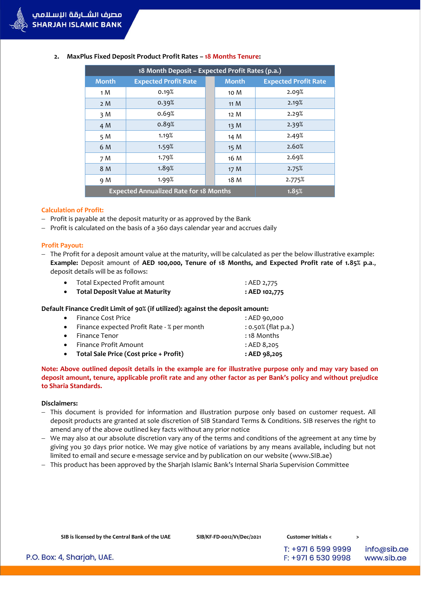| 18 Month Deposit - Expected Profit Rates (p.a.) |                                                        |  |                 |                             |  |
|-------------------------------------------------|--------------------------------------------------------|--|-----------------|-----------------------------|--|
| <b>Month</b>                                    | <b>Expected Profit Rate</b>                            |  | <b>Month</b>    | <b>Expected Profit Rate</b> |  |
| 1 M                                             | 0.19%                                                  |  | 10 M            | 2.09%                       |  |
| 2M                                              | 0.39%                                                  |  | 11 <sub>M</sub> | 2.19%                       |  |
| 3M                                              | 0.69%                                                  |  | 12 M            | 2.29%                       |  |
| 4 M                                             | 0.89%                                                  |  | 13M             | 2.39%                       |  |
| 5 M                                             | 1.19%                                                  |  | 14 M            | 2.49%                       |  |
| 6 M                                             | 1.59%                                                  |  | 15 M            | 2.60%                       |  |
| 7 M                                             | 1.79%                                                  |  | 16 M            | 2.69%                       |  |
| 8 M                                             | 1.89%                                                  |  | 17 <sub>M</sub> | 2.75%                       |  |
| 9 M                                             | 1.99%                                                  |  | 18 M            | 2.775%                      |  |
|                                                 | <b>Expected Annualized Rate for 18 Months</b><br>1.85% |  |                 |                             |  |

# **2. MaxPlus Fixed Deposit Product Profit Rates – 18 Months Tenure:**

## **Calculation of Profit:**

- $-$  Profit is payable at the deposit maturity or as approved by the Bank
- $-$  Profit is calculated on the basis of a 360 days calendar year and accrues daily

## **Profit Payout:**

- The Profit for a deposit amount value at the maturity, will be calculated as per the below illustrative example: **Example:** Deposit amount of **AED 100,000, Tenure of 18 Months, and Expected Profit rate of 1.85% p.a**., deposit details will be as follows:

| <b>Total Deposit Value at Maturity</b> | : AED 102,775 |
|----------------------------------------|---------------|
| Total Expected Profit amount           | : AED 2,775   |

# **Default Finance Credit Limit of 90% (if utilized): against the deposit amount:**

|           | • Total Sale Price (Cost price + Profit)     | : AED 98,205           |
|-----------|----------------------------------------------|------------------------|
|           | • Finance Profit Amount                      | $:$ AED 8,205          |
|           | • Finance Tenor                              | : 18 Months            |
|           | • Finance expected Profit Rate - % per month | $: 0.50\%$ (flat p.a.) |
| $\bullet$ | Finance Cost Price                           | : AED 90,000           |

# **Note: Above outlined deposit details in the example are for illustrative purpose only and may vary based on deposit amount, tenure, applicable profit rate and any other factor as per Bank's policy and without prejudice to Sharia Standards.**

# **Disclaimers:**

- This document is provided for information and illustration purpose only based on customer request. All deposit products are granted at sole discretion of SIB Standard Terms & Conditions. SIB reserves the right to amend any of the above outlined key facts without any prior notice
- We may also at our absolute discretion vary any of the terms and conditions of the agreement at any time by giving you 30 days prior notice. We may give notice of variations by any means available, including but not limited to email and secure e-message service and by publication on our website [\(www.SIB.ae\)](http://www.sib.ae/)
- This product has been approved by the Sharjah Islamic Bank's Internal Sharia Supervision Committee

| SIB is licensed by the Central Bank of the UAE | SIB/KF-FD-0012/V1/Dec/2021 | <b>Customer Initials &lt;</b> |  |
|------------------------------------------------|----------------------------|-------------------------------|--|
|                                                |                            |                               |  |

P.O. Box: 4, Sharjah, UAE.

T: +971 6 599 9999 F: +971 6 530 9998

info@sib.ae www.sib.ae